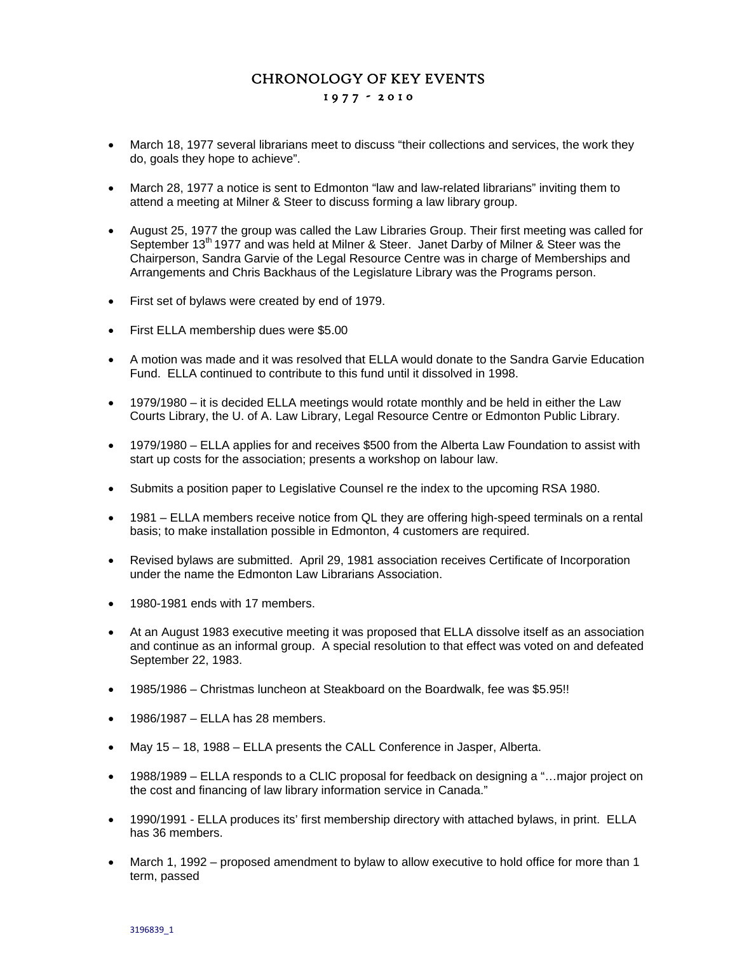## CHRONOLOGY OF KEY EVENTS 1 9 7 7 - 2 0 1 0

- March 18, 1977 several librarians meet to discuss "their collections and services, the work they do, goals they hope to achieve".
- March 28, 1977 a notice is sent to Edmonton "law and law-related librarians" inviting them to attend a meeting at Milner & Steer to discuss forming a law library group.
- August 25, 1977 the group was called the Law Libraries Group. Their first meeting was called for September 13<sup>th</sup> 1977 and was held at Milner & Steer. Janet Darby of Milner & Steer was the Chairperson, Sandra Garvie of the Legal Resource Centre was in charge of Memberships and Arrangements and Chris Backhaus of the Legislature Library was the Programs person.
- First set of bylaws were created by end of 1979.
- First ELLA membership dues were \$5.00
- A motion was made and it was resolved that ELLA would donate to the Sandra Garvie Education Fund. ELLA continued to contribute to this fund until it dissolved in 1998.
- 1979/1980 it is decided ELLA meetings would rotate monthly and be held in either the Law Courts Library, the U. of A. Law Library, Legal Resource Centre or Edmonton Public Library.
- 1979/1980 ELLA applies for and receives \$500 from the Alberta Law Foundation to assist with start up costs for the association; presents a workshop on labour law.
- Submits a position paper to Legislative Counsel re the index to the upcoming RSA 1980.
- 1981 ELLA members receive notice from QL they are offering high-speed terminals on a rental basis; to make installation possible in Edmonton, 4 customers are required.
- Revised bylaws are submitted. April 29, 1981 association receives Certificate of Incorporation under the name the Edmonton Law Librarians Association.
- 1980-1981 ends with 17 members.
- At an August 1983 executive meeting it was proposed that ELLA dissolve itself as an association and continue as an informal group. A special resolution to that effect was voted on and defeated September 22, 1983.
- 1985/1986 Christmas luncheon at Steakboard on the Boardwalk, fee was \$5.95!!
- $\bullet$  1986/1987 ELLA has 28 members.
- May 15 18, 1988 ELLA presents the CALL Conference in Jasper, Alberta.
- 1988/1989 ELLA responds to a CLIC proposal for feedback on designing a "...major project on the cost and financing of law library information service in Canada."
- 1990/1991 ELLA produces its' first membership directory with attached bylaws, in print. ELLA has 36 members.
- March 1, 1992 proposed amendment to bylaw to allow executive to hold office for more than 1 term, passed